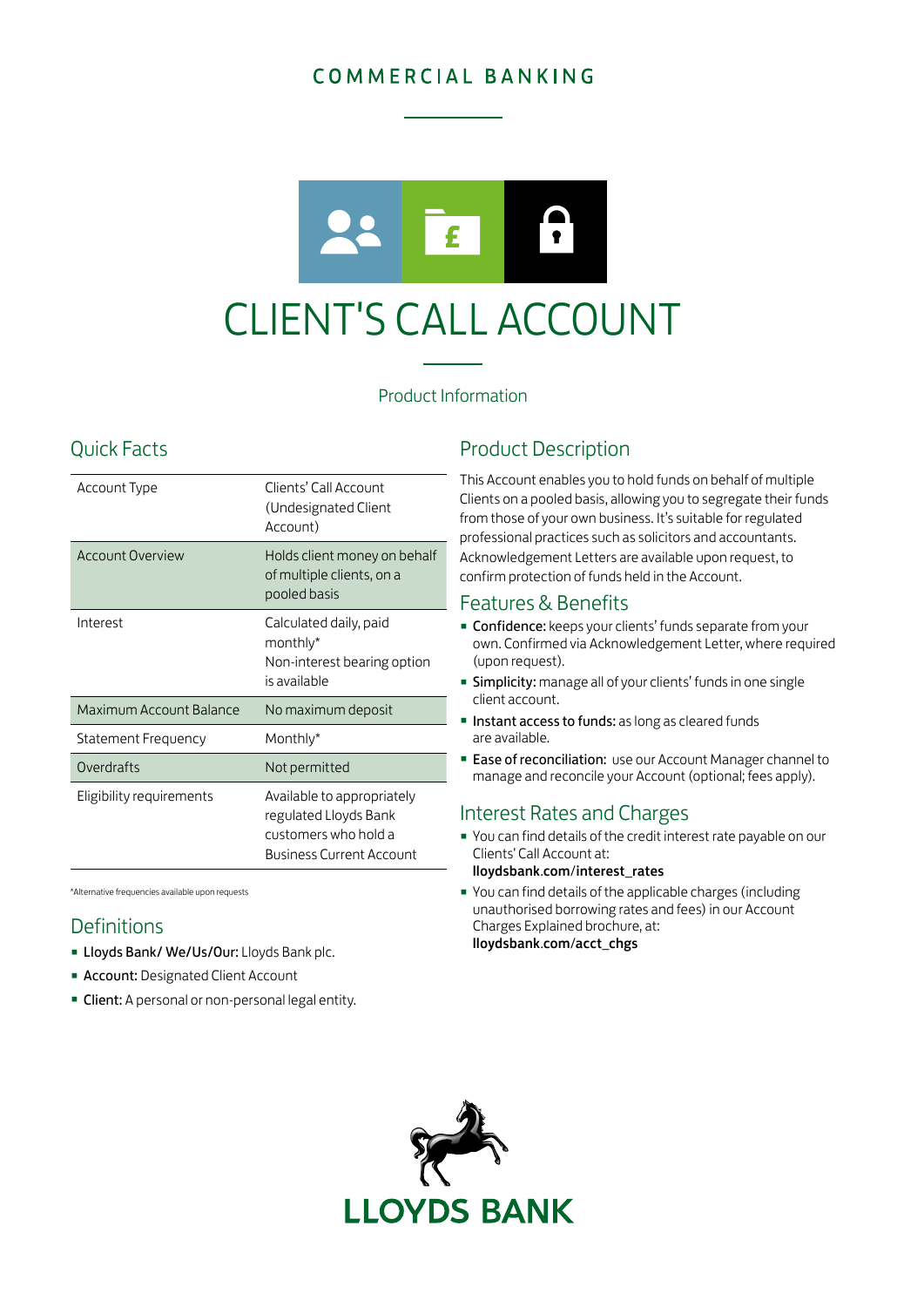# COMMERCIAL BANKING



### Product Information

# Quick Facts

| Account Type             | Clients' Call Account<br>(Undesignated Client<br>Account)                                                      |
|--------------------------|----------------------------------------------------------------------------------------------------------------|
| <b>Account Overview</b>  | Holds client money on behalf<br>of multiple clients, on a<br>pooled basis                                      |
| Interest                 | Calculated daily, paid<br>monthly*<br>Non-interest bearing option<br>is available                              |
| Maximum Account Balance  | No maximum deposit                                                                                             |
| Statement Frequency      | Monthly*                                                                                                       |
| Overdrafts               | Not permitted                                                                                                  |
| Eligibility requirements | Available to appropriately<br>regulated Lloyds Bank<br>customers who hold a<br><b>Business Current Account</b> |

\*Alternative frequencies available upon requests

### **Definitions**

- **E** Lloyds Bank/ We/Us/Our: Lloyds Bank plc.
- **Account: Designated Client Account**
- **Client:** A personal or non-personal legal entity.

## Product Description

This Account enables you to hold funds on behalf of multiple Clients on a pooled basis, allowing you to segregate their funds from those of your own business. It's suitable for regulated professional practices such as solicitors and accountants. Acknowledgement Letters are available upon request, to confirm protection of funds held in the Account.

### Features & Benefits

- **Confidence:** keeps your clients' funds separate from your own. Confirmed via Acknowledgement Letter, where required (upon request).
- **Simplicity:** manage all of your clients' funds in one single client account.
- **Instant access to funds:** as long as cleared funds are available.
- **Ease of reconciliation:** use our Account Manager channel to manage and reconcile your Account (optional; fees apply).

### Interest Rates and Charges

- You can find details of the credit interest rate payable on our Clients' Call Account at:
	- [lloydsbank](http://lloydsbank.com/interest_rates).com/interest\_rates
- You can find details of the applicable charges (including unauthorised borrowing rates and fees) in our Account Charges Explained brochure, at: [lloydsbank](http://lloydsbank.com/acct_chgs).com/acct\_chgs